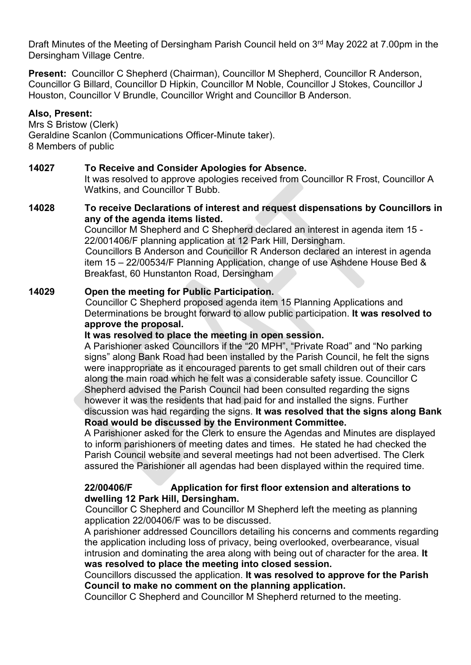Draft Minutes of the Meeting of Dersingham Parish Council held on 3<sup>rd</sup> May 2022 at 7.00pm in the Dersingham Village Centre.

Present: Councillor C Shepherd (Chairman), Councillor M Shepherd, Councillor R Anderson, Councillor G Billard, Councillor D Hipkin, Councillor M Noble, Councillor J Stokes, Councillor J Houston, Councillor V Brundle, Councillor Wright and Councillor B Anderson.

## Also, Present:

Mrs S Bristow (Clerk) Geraldine Scanlon (Communications Officer-Minute taker). 8 Members of public

#### 14027 To Receive and Consider Apologies for Absence.

It was resolved to approve apologies received from Councillor R Frost, Councillor A Watkins, and Councillor T Bubb.

#### 14028 To receive Declarations of interest and request dispensations by Councillors in any of the agenda items listed.

Councillor M Shepherd and C Shepherd declared an interest in agenda item 15 - 22/001406/F planning application at 12 Park Hill, Dersingham.

 Councillors B Anderson and Councillor R Anderson declared an interest in agenda item 15 – 22/00534/F Planning Application, change of use Ashdene House Bed & Breakfast, 60 Hunstanton Road, Dersingham

#### 14029 Open the meeting for Public Participation.

 Councillor C Shepherd proposed agenda item 15 Planning Applications and Determinations be brought forward to allow public participation. It was resolved to approve the proposal.

### It was resolved to place the meeting in open session.

 A Parishioner asked Councillors if the "20 MPH", "Private Road" and "No parking signs" along Bank Road had been installed by the Parish Council, he felt the signs were inappropriate as it encouraged parents to get small children out of their cars along the main road which he felt was a considerable safety issue. Councillor C Shepherd advised the Parish Council had been consulted regarding the signs however it was the residents that had paid for and installed the signs. Further discussion was had regarding the signs. It was resolved that the signs along Bank Road would be discussed by the Environment Committee.

 A Parishioner asked for the Clerk to ensure the Agendas and Minutes are displayed to inform parishioners of meeting dates and times. He stated he had checked the Parish Council website and several meetings had not been advertised. The Clerk assured the Parishioner all agendas had been displayed within the required time.

#### 22/00406/F Application for first floor extension and alterations to dwelling 12 Park Hill, Dersingham.

 Councillor C Shepherd and Councillor M Shepherd left the meeting as planning application 22/00406/F was to be discussed.

 A parishioner addressed Councillors detailing his concerns and comments regarding the application including loss of privacy, being overlooked, overbearance, visual intrusion and dominating the area along with being out of character for the area. It was resolved to place the meeting into closed session.

Councillors discussed the application. It was resolved to approve for the Parish Council to make no comment on the planning application.

Councillor C Shepherd and Councillor M Shepherd returned to the meeting.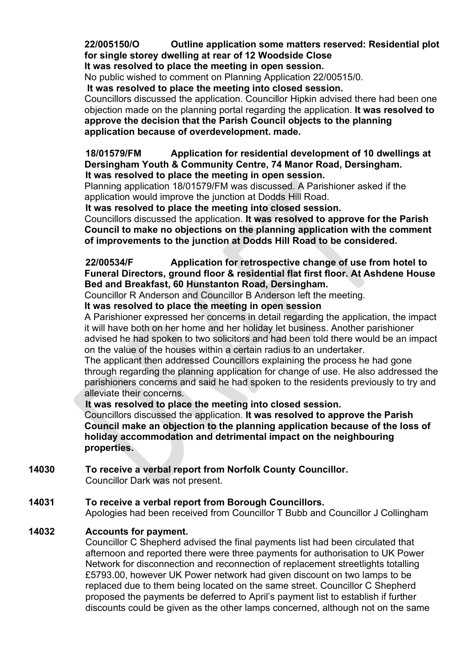22/005150/O Outline application some matters reserved: Residential plot for single storey dwelling at rear of 12 Woodside Close

It was resolved to place the meeting in open session.

No public wished to comment on Planning Application 22/00515/0.

It was resolved to place the meeting into closed session.

Councillors discussed the application. Councillor Hipkin advised there had been one objection made on the planning portal regarding the application. It was resolved to approve the decision that the Parish Council objects to the planning application because of overdevelopment. made.

 18/01579/FM Application for residential development of 10 dwellings at Dersingham Youth & Community Centre, 74 Manor Road, Dersingham. It was resolved to place the meeting in open session.

Planning application 18/01579/FM was discussed. A Parishioner asked if the application would improve the junction at Dodds Hill Road.

It was resolved to place the meeting into closed session.

Councillors discussed the application. It was resolved to approve for the Parish Council to make no objections on the planning application with the comment of improvements to the junction at Dodds Hill Road to be considered.

22/00534/F Application for retrospective change of use from hotel to Funeral Directors, ground floor & residential flat first floor. At Ashdene House Bed and Breakfast, 60 Hunstanton Road, Dersingham.

Councillor R Anderson and Councillor B Anderson left the meeting.

It was resolved to place the meeting in open session

 A Parishioner expressed her concerns in detail regarding the application, the impact it will have both on her home and her holiday let business. Another parishioner advised he had spoken to two solicitors and had been told there would be an impact on the value of the houses within a certain radius to an undertaker.

The applicant then addressed Councillors explaining the process he had gone through regarding the planning application for change of use. He also addressed the parishioners concerns and said he had spoken to the residents previously to try and alleviate their concerns.

It was resolved to place the meeting into closed session.

Councillors discussed the application. It was resolved to approve the Parish Council make an objection to the planning application because of the loss of holiday accommodation and detrimental impact on the neighbouring properties.

14030 To receive a verbal report from Norfolk County Councillor. Councillor Dark was not present.

#### 14031 To receive a verbal report from Borough Councillors.

Apologies had been received from Councillor T Bubb and Councillor J Collingham

#### 14032 Accounts for payment.

 Councillor C Shepherd advised the final payments list had been circulated that afternoon and reported there were three payments for authorisation to UK Power Network for disconnection and reconnection of replacement streetlights totalling £5793.00, however UK Power network had given discount on two lamps to be replaced due to them being located on the same street. Councillor C Shepherd proposed the payments be deferred to April's payment list to establish if further discounts could be given as the other lamps concerned, although not on the same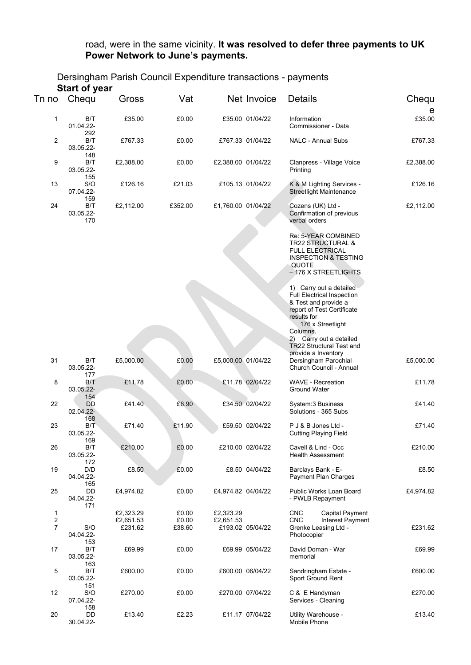#### road, were in the same vicinity. It was resolved to defer three payments to UK Power Network to June's payments.

## Dersingham Parish Council Expenditure transactions - payments Start of year

|                | Start of year                  |           |         |                    |                  |                                                                                                                                                          |            |
|----------------|--------------------------------|-----------|---------|--------------------|------------------|----------------------------------------------------------------------------------------------------------------------------------------------------------|------------|
| Tn no          | Chequ                          | Gross     | Vat     |                    | Net Invoice      | <b>Details</b>                                                                                                                                           | Chequ<br>e |
| 1              | B/T<br>01.04.22-<br>292        | £35.00    | £0.00   |                    | £35.00 01/04/22  | Information<br>Commissioner - Data                                                                                                                       | £35.00     |
| $\overline{c}$ | B/T<br>03.05.22-               | £767.33   | £0.00   |                    | £767.33 01/04/22 | NALC - Annual Subs                                                                                                                                       | £767.33    |
| 9              | 148<br>B/T<br>03.05.22-        | £2,388.00 | £0.00   | £2,388.00 01/04/22 |                  | Clanpress - Village Voice<br>Printing                                                                                                                    | £2,388.00  |
| 13             | 155<br>S/O<br>07.04.22-        | £126.16   | £21.03  |                    | £105.13 01/04/22 | K & M Lighting Services -<br><b>Streetlight Maintenance</b>                                                                                              | £126.16    |
| 24             | 159<br>B/T<br>03.05.22-<br>170 | £2,112.00 | £352.00 | £1,760.00 01/04/22 |                  | Cozens (UK) Ltd -<br>Confirmation of previous<br>verbal orders                                                                                           | £2,112.00  |
|                |                                |           |         |                    |                  | Re: 5-YEAR COMBINED<br><b>TR22 STRUCTURAL &amp;</b><br><b>FULL ELECTRICAL</b><br><b>INSPECTION &amp; TESTING</b><br><b>QUOTE</b><br>- 176 X STREETLIGHTS |            |
|                |                                |           |         |                    |                  | 1) Carry out a detailed<br>Full Electrical Inspection<br>& Test and provide a<br>report of Test Certificate<br>results for                               |            |
|                |                                |           |         |                    |                  | 176 x Streetlight<br>Columns.<br>2) Carry out a detailed<br>TR22 Structural Test and<br>provide a Inventory                                              |            |
| 31             | B/T<br>03.05.22-<br>177        | £5,000.00 | £0.00   | £5,000.00 01/04/22 |                  | Dersingham Parochial<br>Church Council - Annual                                                                                                          | £5,000.00  |
| 8              | B/T<br>03.05.22-<br>154        | £11.78    | £0.00   |                    | £11.78 02/04/22  | <b>WAVE - Recreation</b><br><b>Ground Water</b>                                                                                                          | £11.78     |
| 22             | <b>DD</b><br>02.04.22-<br>168  | £41.40    | £6.90   |                    | £34.50 02/04/22  | System: 3 Business<br>Solutions - 365 Subs                                                                                                               | £41.40     |
| 23             | B/T<br>03.05.22-               | £71.40    | £11.90  |                    | £59.50 02/04/22  | P J & B Jones Ltd -<br><b>Cutting Playing Field</b>                                                                                                      | £71.40     |
| 26             | 169<br>B/T<br>03.05.22-        | £210.00   | £0.00   |                    | £210.00 02/04/22 | Cavell & Lind - Occ<br><b>Health Assessment</b>                                                                                                          | £210.00    |
| 19             | 172<br>D/D<br>04.04.22-        | £8.50     | £0.00   |                    | £8.50 04/04/22   | Barclays Bank - E-<br>Payment Plan Charges                                                                                                               | £8.50      |
| 25             | 165<br>DD<br>04.04.22-<br>171  | £4,974.82 | £0.00   | £4,974.82 04/04/22 |                  | Public Works Loan Board<br>- PWLB Repayment                                                                                                              | £4,974.82  |
| 1              |                                | £2,323.29 | £0.00   | £2,323.29          |                  | <b>CNC</b><br>Capital Payment                                                                                                                            |            |
| $\overline{c}$ |                                | £2,651.53 | £0.00   | £2,651.53          |                  | <b>CNC</b><br>Interest Payment                                                                                                                           |            |
| 7              | S/O<br>04.04.22-<br>153        | £231.62   | £38.60  |                    | £193.02 05/04/22 | Grenke Leasing Ltd -<br>Photocopier                                                                                                                      | £231.62    |
| 17             | B/T<br>03.05.22-               | £69.99    | £0.00   |                    | £69.99 05/04/22  | David Doman - War<br>memorial                                                                                                                            | £69.99     |
| 5              | 163<br>B/T<br>03.05.22-        | £600.00   | £0.00   |                    | £600.00 06/04/22 | Sandringham Estate -<br>Sport Ground Rent                                                                                                                | £600.00    |
| 12             | 151<br>S/O<br>07.04.22-        | £270.00   | £0.00   |                    | £270.00 07/04/22 | C & E Handyman<br>Services - Cleaning                                                                                                                    | £270.00    |
| 20             | 158<br>DD<br>30.04.22-         | £13.40    | £2.23   |                    | £11.17 07/04/22  | Utility Warehouse -<br>Mobile Phone                                                                                                                      | £13.40     |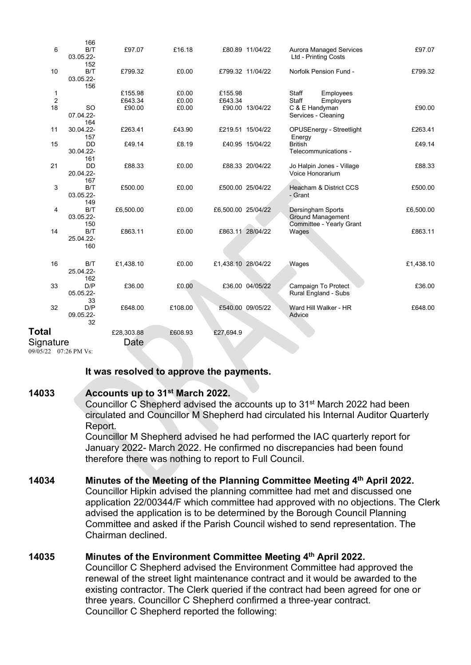|                                    | 166                           |            |         |                    |                  |                                                        |           |
|------------------------------------|-------------------------------|------------|---------|--------------------|------------------|--------------------------------------------------------|-----------|
| 6                                  | B/T<br>03.05.22-<br>152       | £97.07     | £16.18  |                    | £80.89 11/04/22  | <b>Aurora Managed Services</b><br>Ltd - Printing Costs | £97.07    |
| 10                                 | B/T<br>03.05.22-<br>156       | £799.32    | £0.00   |                    | £799.32 11/04/22 | Norfolk Pension Fund -                                 | £799.32   |
| 1                                  |                               | £155.98    | £0.00   | £155.98            |                  | Staff<br>Employees                                     |           |
| $\overline{2}$                     |                               | £643.34    | £0.00   | £643.34            |                  | Staff<br>Employers                                     |           |
| 18                                 | <b>SO</b><br>07.04.22-<br>164 | £90.00     | £0.00   |                    | £90.00 13/04/22  | C & E Handyman<br>Services - Cleaning                  | £90.00    |
| 11                                 | 30.04.22-<br>157              | £263.41    | £43.90  |                    | £219.51 15/04/22 | OPUSEnergy - Streetlight<br>Energy                     | £263.41   |
| 15                                 | <b>DD</b><br>30.04.22-<br>161 | £49.14     | £8.19   |                    | £40.95 15/04/22  | <b>British</b><br>Telecommunications -                 | £49.14    |
| 21                                 | <b>DD</b><br>20.04.22-<br>167 | £88.33     | £0.00   |                    | £88.33 20/04/22  | Jo Halpin Jones - Village<br>Voice Honorarium          | £88.33    |
| 3                                  | B/T<br>03.05.22-<br>149       | £500.00    | £0.00   |                    | £500.00 25/04/22 | Heacham & District CCS<br>- Grant                      | £500.00   |
| 4                                  | B/T<br>03.05.22-<br>150       | £6,500.00  | £0.00   | £6,500.00 25/04/22 |                  | Dersingham Sports<br><b>Ground Management</b>          | £6,500.00 |
| 14                                 | B/T<br>25.04.22-<br>160       | £863.11    | £0.00   |                    | £863.11 28/04/22 | Committee - Yearly Grant<br>Wages                      | £863.11   |
| 16                                 | B/T<br>25.04.22-<br>162       | £1,438.10  | £0.00   | £1,438.10 28/04/22 |                  | Wages                                                  | £1,438.10 |
| 33                                 | D/P<br>05.05.22-<br>33        | £36.00     | £0.00   |                    | £36.00 04/05/22  | Campaign To Protect<br>Rural England - Subs            | £36.00    |
| 32                                 | D/P<br>09.05.22-<br>32        | £648.00    | £108.00 |                    | £540.00 09/05/22 | Ward Hill Walker - HR<br>Advice                        | £648.00   |
| <b>Total</b>                       |                               | £28,303.88 | £608.93 | £27,694.9          |                  |                                                        |           |
| Signature<br>09/05/22 07:26 PM Vs: |                               | Date       |         |                    |                  |                                                        |           |

#### It was resolved to approve the payments.

## 14033 Accounts up to 31st March 2022.

 Councillor C Shepherd advised the accounts up to 31st March 2022 had been circulated and Councillor M Shepherd had circulated his Internal Auditor Quarterly Report.

 Councillor M Shepherd advised he had performed the IAC quarterly report for January 2022- March 2022. He confirmed no discrepancies had been found therefore there was nothing to report to Full Council.

## 14034 Minutes of the Meeting of the Planning Committee Meeting 4th April 2022.

 Councillor Hipkin advised the planning committee had met and discussed one application 22/00344/F which committee had approved with no objections. The Clerk advised the application is to be determined by the Borough Council Planning Committee and asked if the Parish Council wished to send representation. The Chairman declined.

#### 14035 Minutes of the Environment Committee Meeting 4th April 2022.

 Councillor C Shepherd advised the Environment Committee had approved the renewal of the street light maintenance contract and it would be awarded to the existing contractor. The Clerk queried if the contract had been agreed for one or three years. Councillor C Shepherd confirmed a three-year contract. Councillor C Shepherd reported the following: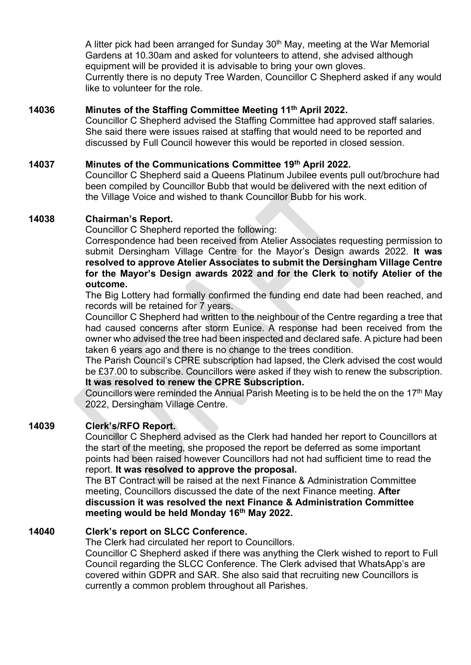A litter pick had been arranged for Sunday 30<sup>th</sup> May, meeting at the War Memorial Gardens at 10.30am and asked for volunteers to attend, she advised although equipment will be provided it is advisable to bring your own gloves. Currently there is no deputy Tree Warden, Councillor C Shepherd asked if any would like to volunteer for the role.

#### 14036 Minutes of the Staffing Committee Meeting 11th April 2022.

 Councillor C Shepherd advised the Staffing Committee had approved staff salaries. She said there were issues raised at staffing that would need to be reported and discussed by Full Council however this would be reported in closed session.

#### 14037 Minutes of the Communications Committee 19th April 2022.

 Councillor C Shepherd said a Queens Platinum Jubilee events pull out/brochure had been compiled by Councillor Bubb that would be delivered with the next edition of the Village Voice and wished to thank Councillor Bubb for his work.

#### 14038 Chairman's Report.

Councillor C Shepherd reported the following:

 Correspondence had been received from Atelier Associates requesting permission to submit Dersingham Village Centre for the Mayor's Design awards 2022. It was resolved to approve Atelier Associates to submit the Dersingham Village Centre for the Mayor's Design awards 2022 and for the Clerk to notify Atelier of the outcome.

 The Big Lottery had formally confirmed the funding end date had been reached, and records will be retained for 7 years.

 Councillor C Shepherd had written to the neighbour of the Centre regarding a tree that had caused concerns after storm Eunice. A response had been received from the owner who advised the tree had been inspected and declared safe. A picture had been taken 6 years ago and there is no change to the trees condition.

 The Parish Council's CPRE subscription had lapsed, the Clerk advised the cost would be £37.00 to subscribe. Councillors were asked if they wish to renew the subscription. It was resolved to renew the CPRE Subscription.

Councillors were reminded the Annual Parish Meeting is to be held the on the 17<sup>th</sup> May 2022, Dersingham Village Centre.

#### 14039 Clerk's/RFO Report.

 Councillor C Shepherd advised as the Clerk had handed her report to Councillors at the start of the meeting, she proposed the report be deferred as some important points had been raised however Councillors had not had sufficient time to read the report. It was resolved to approve the proposal.

 The BT Contract will be raised at the next Finance & Administration Committee meeting, Councillors discussed the date of the next Finance meeting. After discussion it was resolved the next Finance & Administration Committee meeting would be held Monday 16th May 2022.

## 14040 Clerk's report on SLCC Conference.

The Clerk had circulated her report to Councillors.

 Councillor C Shepherd asked if there was anything the Clerk wished to report to Full Council regarding the SLCC Conference. The Clerk advised that WhatsApp's are covered within GDPR and SAR. She also said that recruiting new Councillors is currently a common problem throughout all Parishes.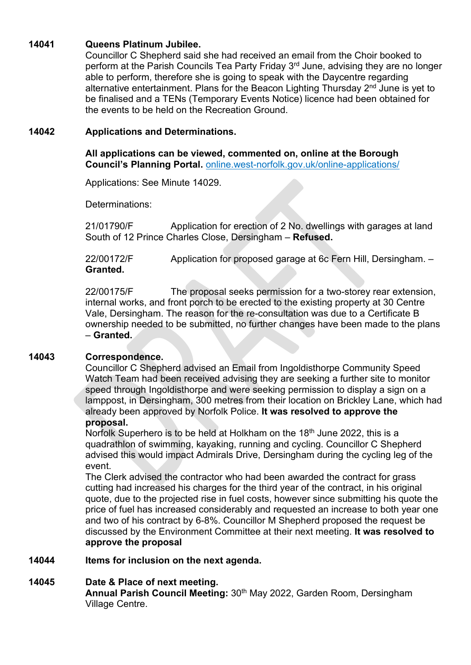## 14041 Queens Platinum Jubilee.

 Councillor C Shepherd said she had received an email from the Choir booked to perform at the Parish Councils Tea Party Friday 3<sup>rd</sup> June, advising they are no longer able to perform, therefore she is going to speak with the Daycentre regarding alternative entertainment. Plans for the Beacon Lighting Thursday  $2<sup>nd</sup>$  June is yet to be finalised and a TENs (Temporary Events Notice) licence had been obtained for the events to be held on the Recreation Ground.

## 14042 Applications and Determinations.

All applications can be viewed, commented on, online at the Borough Council's Planning Portal. online.west-norfolk.gov.uk/online-applications/

Applications: See Minute 14029.

Determinations:

 21/01790/F Application for erection of 2 No. dwellings with garages at land South of 12 Prince Charles Close, Dersingham – Refused.

 22/00172/F Application for proposed garage at 6c Fern Hill, Dersingham. – Granted.

22/00175/F The proposal seeks permission for a two-storey rear extension, internal works, and front porch to be erected to the existing property at 30 Centre Vale, Dersingham. The reason for the re-consultation was due to a Certificate B ownership needed to be submitted, no further changes have been made to the plans – Granted.

# 14043 Correspondence.

Councillor C Shepherd advised an Email from Ingoldisthorpe Community Speed Watch Team had been received advising they are seeking a further site to monitor speed through Ingoldisthorpe and were seeking permission to display a sign on a lamppost, in Dersingham, 300 metres from their location on Brickley Lane, which had already been approved by Norfolk Police. It was resolved to approve the proposal.

Norfolk Superhero is to be held at Holkham on the 18<sup>th</sup> June 2022, this is a quadrathlon of swimming, kayaking, running and cycling. Councillor C Shepherd advised this would impact Admirals Drive, Dersingham during the cycling leg of the event.

The Clerk advised the contractor who had been awarded the contract for grass cutting had increased his charges for the third year of the contract, in his original quote, due to the projected rise in fuel costs, however since submitting his quote the price of fuel has increased considerably and requested an increase to both year one and two of his contract by 6-8%. Councillor M Shepherd proposed the request be discussed by the Environment Committee at their next meeting. It was resolved to approve the proposal

# 14044 Items for inclusion on the next agenda.

# 14045 Date & Place of next meeting.

Annual Parish Council Meeting: 30<sup>th</sup> May 2022, Garden Room, Dersingham Village Centre.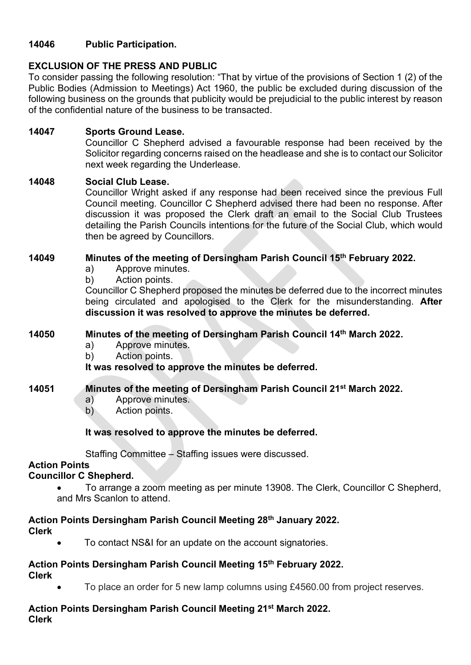# 14046 Public Participation.

# EXCLUSION OF THE PRESS AND PUBLIC

To consider passing the following resolution: "That by virtue of the provisions of Section 1 (2) of the Public Bodies (Admission to Meetings) Act 1960, the public be excluded during discussion of the following business on the grounds that publicity would be prejudicial to the public interest by reason of the confidential nature of the business to be transacted.

# 14047 Sports Ground Lease.

Councillor C Shepherd advised a favourable response had been received by the Solicitor regarding concerns raised on the headlease and she is to contact our Solicitor next week regarding the Underlease.

## 14048 Social Club Lease.

Councillor Wright asked if any response had been received since the previous Full Council meeting. Councillor C Shepherd advised there had been no response. After discussion it was proposed the Clerk draft an email to the Social Club Trustees detailing the Parish Councils intentions for the future of the Social Club, which would then be agreed by Councillors.

# 14049 Minutes of the meeting of Dersingham Parish Council 15th February 2022.

- a) Approve minutes.
- b) Action points.

Councillor C Shepherd proposed the minutes be deferred due to the incorrect minutes being circulated and apologised to the Clerk for the misunderstanding. After discussion it was resolved to approve the minutes be deferred.

## 14050 Minutes of the meeting of Dersingham Parish Council 14th March 2022.

- a) Approve minutes.
- b) Action points.

It was resolved to approve the minutes be deferred.

# 14051 Minutes of the meeting of Dersingham Parish Council 21<sup>st</sup> March 2022.

- a) Approve minutes.
- b) Action points.

# It was resolved to approve the minutes be deferred.

Staffing Committee – Staffing issues were discussed.

#### Action Points

# Councillor C Shepherd.

 To arrange a zoom meeting as per minute 13908. The Clerk, Councillor C Shepherd, and Mrs Scanlon to attend.

#### Action Points Dersingham Parish Council Meeting 28<sup>th</sup> January 2022. Clerk

To contact NS&I for an update on the account signatories.

#### Action Points Dersingham Parish Council Meeting 15th February 2022. Clerk

To place an order for 5 new lamp columns using £4560.00 from project reserves.

# Action Points Dersingham Parish Council Meeting 21<sup>st</sup> March 2022.

Clerk